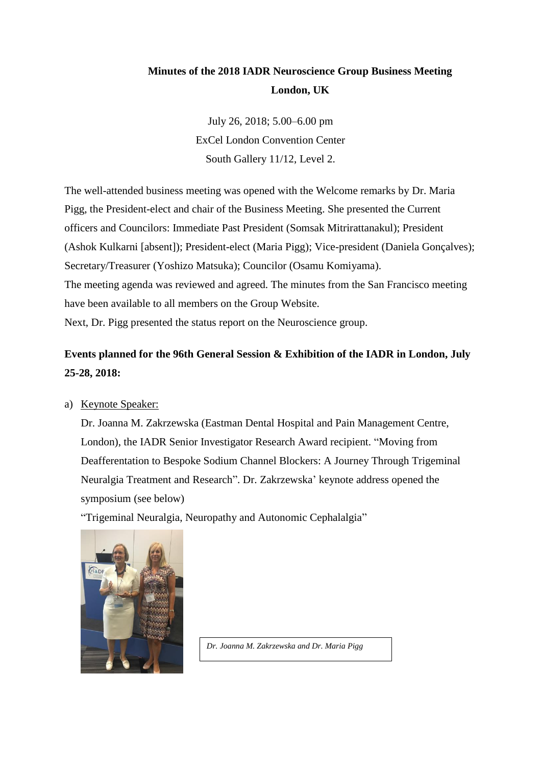# **Minutes of the 2018 IADR Neuroscience Group Business Meeting London, UK**

July 26, 2018; 5.00–6.00 pm ExCel London Convention Center South Gallery 11/12, Level 2.

The well-attended business meeting was opened with the Welcome remarks by Dr. Maria Pigg, the President-elect and chair of the Business Meeting. She presented the Current officers and Councilors: Immediate Past President (Somsak Mitrirattanakul); President (Ashok Kulkarni [absent]); President-elect (Maria Pigg); Vice-president (Daniela Gonçalves); Secretary/Treasurer (Yoshizo Matsuka); Councilor (Osamu Komiyama). The meeting agenda was reviewed and agreed. The minutes from the San Francisco meeting have been available to all members on the Group Website. Next, Dr. Pigg presented the status report on the Neuroscience group.

# **Events planned for the 96th General Session & Exhibition of the IADR in London, July 25-28, 2018:**

## a) Keynote Speaker:

Dr. Joanna M. Zakrzewska (Eastman Dental Hospital and Pain Management Centre, London), the IADR Senior Investigator Research Award recipient. "Moving from Deafferentation to Bespoke Sodium Channel Blockers: A Journey Through Trigeminal Neuralgia Treatment and Research". Dr. Zakrzewska' keynote address opened the symposium (see below)

"Trigeminal Neuralgia, Neuropathy and Autonomic Cephalalgia"



*Dr. Joanna M. Zakrzewska and Dr. Maria Pigg*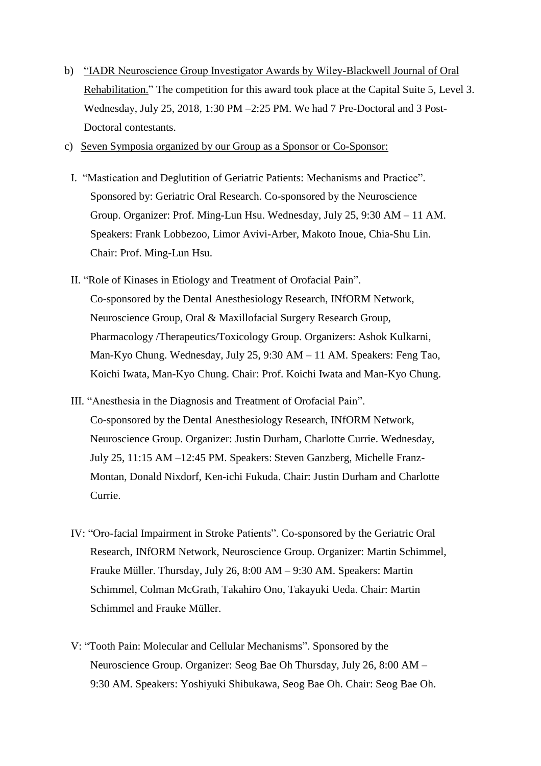- b) "IADR Neuroscience Group Investigator Awards by Wiley-Blackwell Journal of Oral Rehabilitation." The competition for this award took place at the Capital Suite 5, Level 3. Wednesday, July 25, 2018, 1:30 PM –2:25 PM. We had 7 Pre-Doctoral and 3 Post-Doctoral contestants.
- c) Seven Symposia organized by our Group as a Sponsor or Co-Sponsor:
	- I. "Mastication and Deglutition of Geriatric Patients: Mechanisms and Practice". Sponsored by: Geriatric Oral Research. Co-sponsored by the Neuroscience Group. Organizer: Prof. Ming-Lun Hsu. Wednesday, July 25, 9:30 AM – 11 AM. Speakers: Frank Lobbezoo, Limor Avivi-Arber, Makoto Inoue, Chia-Shu Lin. Chair: Prof. Ming-Lun Hsu.
	- II. "Role of Kinases in Etiology and Treatment of Orofacial Pain". Co-sponsored by the Dental Anesthesiology Research, INfORM Network, Neuroscience Group, Oral & Maxillofacial Surgery Research Group, Pharmacology /Therapeutics/Toxicology Group. Organizers: Ashok Kulkarni, Man-Kyo Chung. Wednesday, July 25, 9:30 AM – 11 AM. Speakers: Feng Tao, Koichi Iwata, Man-Kyo Chung. Chair: Prof. Koichi Iwata and Man-Kyo Chung.
	- III. "Anesthesia in the Diagnosis and Treatment of Orofacial Pain". Co-sponsored by the Dental Anesthesiology Research, INfORM Network, Neuroscience Group. Organizer: Justin Durham, Charlotte Currie. Wednesday, July 25, 11:15 AM –12:45 PM. Speakers: Steven Ganzberg, Michelle Franz-Montan, Donald Nixdorf, Ken-ichi Fukuda. Chair: Justin Durham and Charlotte Currie.
	- IV: "Oro-facial Impairment in Stroke Patients". Co-sponsored by the Geriatric Oral Research, INfORM Network, Neuroscience Group. Organizer: Martin Schimmel, Frauke Müller. Thursday, July 26, 8:00 AM – 9:30 AM. Speakers: Martin Schimmel, Colman McGrath, Takahiro Ono, Takayuki Ueda. Chair: Martin Schimmel and Frauke Müller.
	- V: "Tooth Pain: Molecular and Cellular Mechanisms". Sponsored by the Neuroscience Group. Organizer: Seog Bae Oh Thursday, July 26, 8:00 AM – 9:30 AM. Speakers: Yoshiyuki Shibukawa, Seog Bae Oh. Chair: Seog Bae Oh.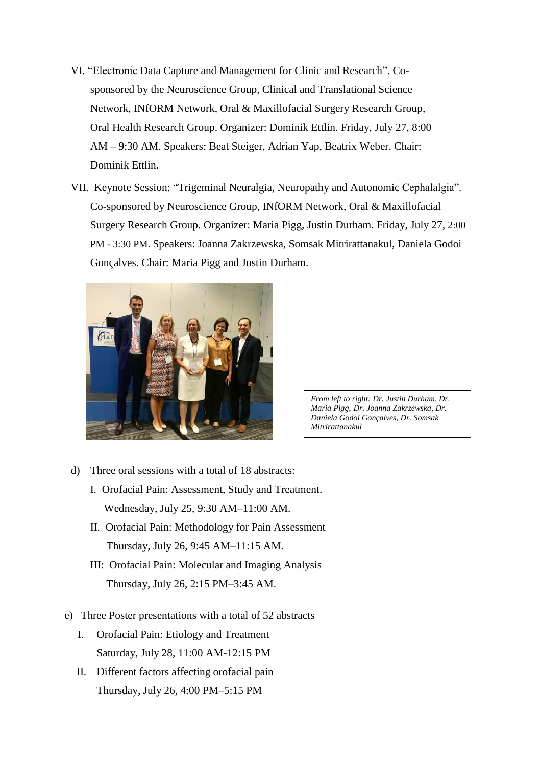- VI. "Electronic Data Capture and Management for Clinic and Research". Cosponsored by the Neuroscience Group, Clinical and Translational Science Network, INfORM Network, Oral & Maxillofacial Surgery Research Group, Oral Health Research Group. Organizer: Dominik Ettlin. Friday, July 27, 8:00 AM – 9:30 AM. Speakers: Beat Steiger, Adrian Yap, Beatrix Weber. Chair: Dominik Ettlin.
- VII. Keynote Session: "Trigeminal Neuralgia, Neuropathy and Autonomic Cephalalgia". Co-sponsored by Neuroscience Group, INfORM Network, Oral & Maxillofacial Surgery Research Group. Organizer: Maria Pigg, Justin Durham. Friday, July 27, 2:00 PM - 3:30 PM. Speakers: Joanna Zakrzewska, Somsak Mitrirattanakul, Daniela Godoi Gonçalves. Chair: Maria Pigg and Justin Durham.



*From left to right: Dr. Justin Durham, Dr. Maria Pigg, Dr. Joanna Zakrzewska, Dr. Daniela Godoi Gonçalves, Dr. Somsak Mitrirattanakul*

- d) Three oral sessions with a total of 18 abstracts:
	- I. Orofacial Pain: Assessment, Study and Treatment. Wednesday, July 25, 9:30 AM–11:00 AM.
	- II. Orofacial Pain: Methodology for Pain Assessment Thursday, July 26, 9:45 AM–11:15 AM.
	- III: Orofacial Pain: Molecular and Imaging Analysis Thursday, July 26, 2:15 PM–3:45 AM.
- e) Three Poster presentations with a total of 52 abstracts
	- I. Orofacial Pain: Etiology and Treatment Saturday, July 28, 11:00 AM-12:15 PM
	- II. Different factors affecting orofacial pain Thursday, July 26, 4:00 PM–5:15 PM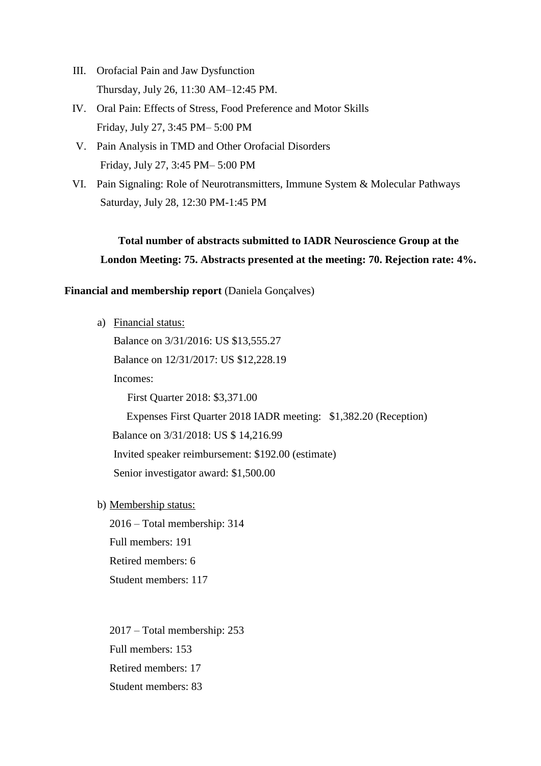- III. Orofacial Pain and Jaw Dysfunction Thursday, July 26, 11:30 AM–12:45 PM.
- IV. Oral Pain: Effects of Stress, Food Preference and Motor Skills Friday, July 27, 3:45 PM– 5:00 PM
- V. Pain Analysis in TMD and Other Orofacial Disorders Friday, July 27, 3:45 PM– 5:00 PM
- VI. Pain Signaling: Role of Neurotransmitters, Immune System & Molecular Pathways Saturday, July 28, 12:30 PM-1:45 PM

# **Total number of abstracts submitted to IADR Neuroscience Group at the London Meeting: 75. Abstracts presented at the meeting: 70. Rejection rate: 4%.**

## **Financial and membership report** (Daniela Gonçalves)

a) Financial status:

Balance on 3/31/2016: US \$13,555.27

Balance on 12/31/2017: US \$12,228.19

Incomes:

First Quarter 2018: \$3,371.00

Expenses First Quarter 2018 IADR meeting: \$1,382.20 (Reception)

Balance on 3/31/2018: US \$ 14,216.99

Invited speaker reimbursement: \$192.00 (estimate)

Senior investigator award: \$1,500.00

b) Membership status:

2016 – Total membership: 314

Full members: 191

Retired members: 6

Student members: 117

2017 – Total membership: 253 Full members: 153 Retired members: 17 Student members: 83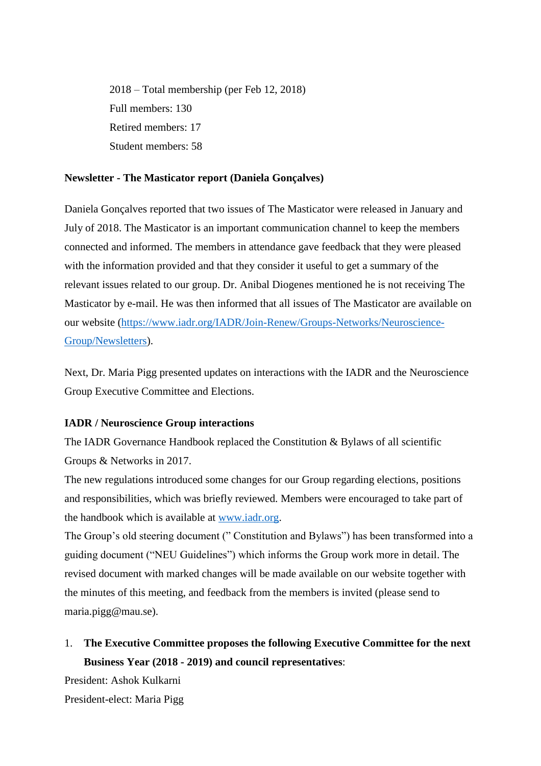2018 – Total membership (per Feb 12, 2018) Full members: 130 Retired members: 17 Student members: 58

#### **Newsletter - The Masticator report (Daniela Gonçalves)**

Daniela Gonçalves reported that two issues of The Masticator were released in January and July of 2018. The Masticator is an important communication channel to keep the members connected and informed. The members in attendance gave feedback that they were pleased with the information provided and that they consider it useful to get a summary of the relevant issues related to our group. Dr. Anibal Diogenes mentioned he is not receiving The Masticator by e-mail. He was then informed that all issues of The Masticator are available on our website [\(https://www.iadr.org/IADR/Join-Renew/Groups-Networks/Neuroscience-](https://www.iadr.org/IADR/Join-Renew/Groups-Networks/Neuroscience-Group/Newsletters)[Group/Newsletters\)](https://www.iadr.org/IADR/Join-Renew/Groups-Networks/Neuroscience-Group/Newsletters).

Next, Dr. Maria Pigg presented updates on interactions with the IADR and the Neuroscience Group Executive Committee and Elections.

#### **IADR / Neuroscience Group interactions**

The IADR Governance Handbook replaced the Constitution & Bylaws of all scientific Groups & Networks in 2017.

The new regulations introduced some changes for our Group regarding elections, positions and responsibilities, which was briefly reviewed. Members were encouraged to take part of the handbook which is available at [www.iadr.org.](http://www.iadr.org/)

The Group's old steering document (" Constitution and Bylaws") has been transformed into a guiding document ("NEU Guidelines") which informs the Group work more in detail. The revised document with marked changes will be made available on our website together with the minutes of this meeting, and feedback from the members is invited (please send to maria.pigg@mau.se).

1. **The Executive Committee proposes the following Executive Committee for the next Business Year (2018 - 2019) and council representatives**:

President: Ashok Kulkarni

President-elect: Maria Pigg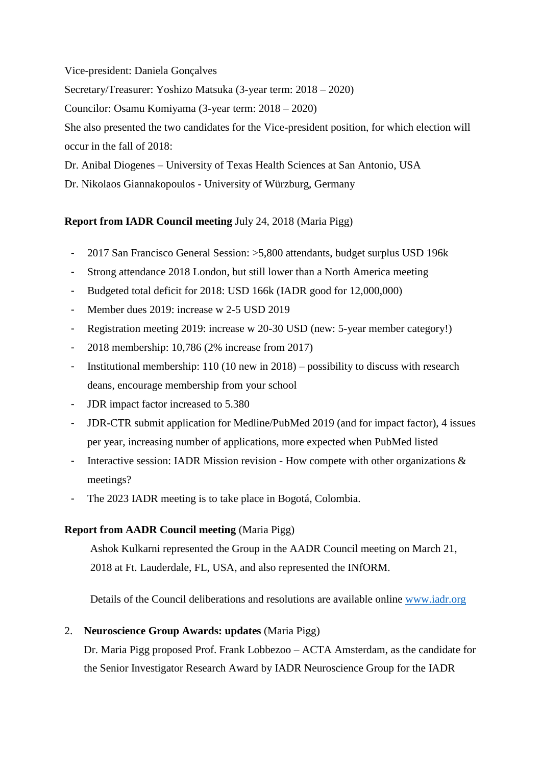#### Vice-president: Daniela Gonçalves

Secretary/Treasurer: Yoshizo Matsuka (3-year term: 2018 – 2020)

Councilor: Osamu Komiyama (3-year term: 2018 – 2020)

She also presented the two candidates for the Vice-president position, for which election will occur in the fall of 2018:

Dr. Anibal Diogenes – University of Texas Health Sciences at San Antonio, USA

Dr. Nikolaos Giannakopoulos - University of Würzburg, Germany

## **Report from IADR Council meeting** July 24, 2018 (Maria Pigg)

- 2017 San Francisco General Session: >5,800 attendants, budget surplus USD 196k
- Strong attendance 2018 London, but still lower than a North America meeting
- Budgeted total deficit for 2018: USD 166k (IADR good for 12,000,000)
- Member dues 2019: increase w 2-5 USD 2019
- Registration meeting 2019: increase w 20-30 USD (new: 5-year member category!)
- 2018 membership: 10,786 (2% increase from 2017)
- Institutional membership:  $110 (10 new in 2018) possibility to discuss with research$ deans, encourage membership from your school
- JDR impact factor increased to 5.380
- JDR-CTR submit application for Medline/PubMed 2019 (and for impact factor), 4 issues per year, increasing number of applications, more expected when PubMed listed
- Interactive session: IADR Mission revision How compete with other organizations  $\&$ meetings?
- The 2023 IADR meeting is to take place in Bogotá, Colombia.

# **Report from AADR Council meeting** (Maria Pigg)

Ashok Kulkarni represented the Group in the AADR Council meeting on March 21, 2018 at Ft. Lauderdale, FL, USA, and also represented the INfORM.

Details of the Council deliberations and resolutions are available online [www.iadr.org](http://www.iadr.org/)

## 2. **Neuroscience Group Awards: updates** (Maria Pigg)

Dr. Maria Pigg proposed Prof. Frank Lobbezoo – ACTA Amsterdam, as the candidate for the Senior Investigator Research Award by IADR Neuroscience Group for the IADR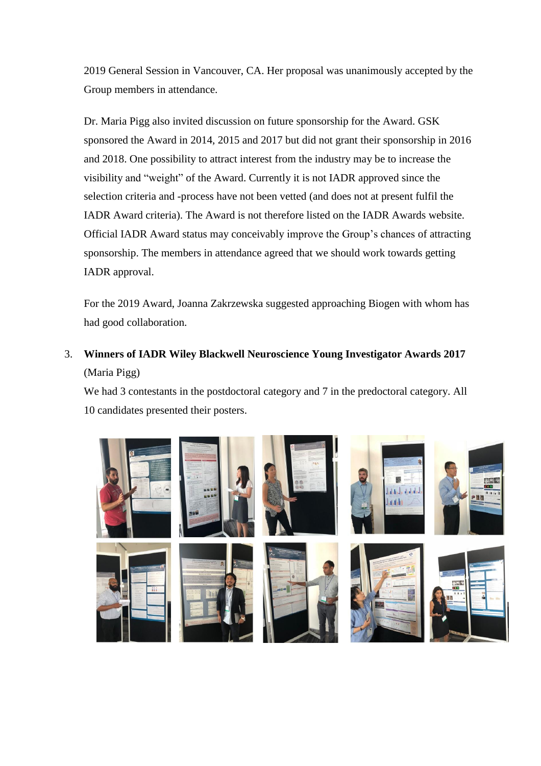2019 General Session in Vancouver, CA. Her proposal was unanimously accepted by the Group members in attendance.

Dr. Maria Pigg also invited discussion on future sponsorship for the Award. GSK sponsored the Award in 2014, 2015 and 2017 but did not grant their sponsorship in 2016 and 2018. One possibility to attract interest from the industry may be to increase the visibility and "weight" of the Award. Currently it is not IADR approved since the selection criteria and -process have not been vetted (and does not at present fulfil the IADR Award criteria). The Award is not therefore listed on the IADR Awards website. Official IADR Award status may conceivably improve the Group's chances of attracting sponsorship. The members in attendance agreed that we should work towards getting IADR approval.

For the 2019 Award, Joanna Zakrzewska suggested approaching Biogen with whom has had good collaboration.

3. **Winners of IADR Wiley Blackwell Neuroscience Young Investigator Awards 2017**  (Maria Pigg)

We had 3 contestants in the postdoctoral category and 7 in the predoctoral category. All 10 candidates presented their posters.

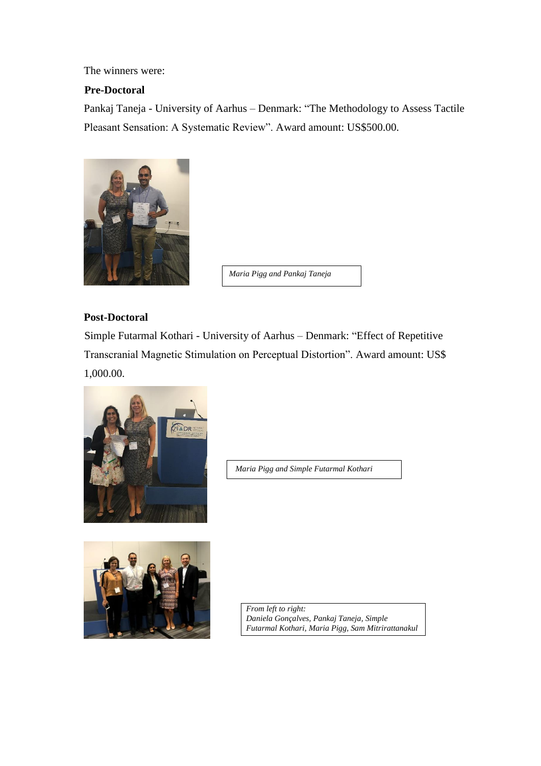The winners were:

# **Pre-Doctoral**

Pankaj Taneja - University of Aarhus – Denmark: "The Methodology to Assess Tactile Pleasant Sensation: A Systematic Review". Award amount: US\$500.00.



*Maria Pigg and Pankaj Taneja*

## **Post-Doctoral**

Simple Futarmal Kothari - University of Aarhus – Denmark: "Effect of Repetitive Transcranial Magnetic Stimulation on Perceptual Distortion". Award amount: US\$ 1,000.00.



*Maria Pigg and Simple Futarmal Kothari*



*From left to right: Daniela Gonçalves, Pankaj Taneja, Simple Futarmal Kothari, Maria Pigg, Sam Mitrirattanakul*